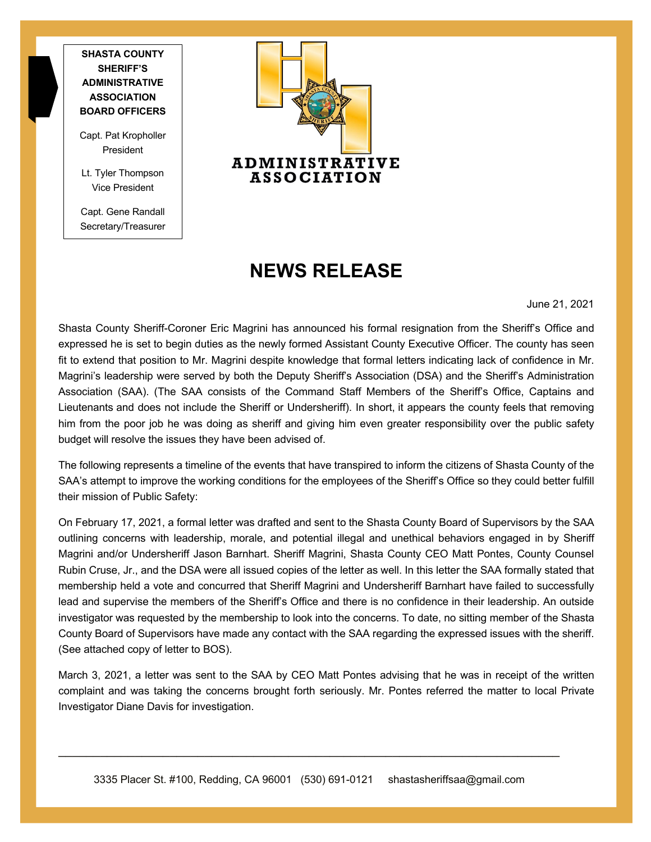**SHASTA COUNTY SHERIFF'S ADMINISTRATIVE ASSOCIATION BOARD OFFICERS**

Capt. Pat Kropholler President

Lt. Tyler Thompson Vice President

Capt. Gene Randall Secretary/Treasurer



## **NEWS RELEASE**

June 21, 2021

Shasta County Sheriff-Coroner Eric Magrini has announced his formal resignation from the Sheriff's Office and expressed he is set to begin duties as the newly formed Assistant County Executive Officer. The county has seen fit to extend that position to Mr. Magrini despite knowledge that formal letters indicating lack of confidence in Mr. Magrini's leadership were served by both the Deputy Sheriff's Association (DSA) and the Sheriff's Administration Association (SAA). (The SAA consists of the Command Staff Members of the Sheriff's Office, Captains and Lieutenants and does not include the Sheriff or Undersheriff). In short, it appears the county feels that removing him from the poor job he was doing as sheriff and giving him even greater responsibility over the public safety budget will resolve the issues they have been advised of.

The following represents a timeline of the events that have transpired to inform the citizens of Shasta County of the SAA's attempt to improve the working conditions for the employees of the Sheriff's Office so they could better fulfill their mission of Public Safety:

On February 17, 2021, a formal letter was drafted and sent to the Shasta County Board of Supervisors by the SAA outlining concerns with leadership, morale, and potential illegal and unethical behaviors engaged in by Sheriff Magrini and/or Undersheriff Jason Barnhart. Sheriff Magrini, Shasta County CEO Matt Pontes, County Counsel Rubin Cruse, Jr., and the DSA were all issued copies of the letter as well. In this letter the SAA formally stated that membership held a vote and concurred that Sheriff Magrini and Undersheriff Barnhart have failed to successfully lead and supervise the members of the Sheriff's Office and there is no confidence in their leadership. An outside investigator was requested by the membership to look into the concerns. To date, no sitting member of the Shasta County Board of Supervisors have made any contact with the SAA regarding the expressed issues with the sheriff. (See attached copy of letter to BOS).

March 3, 2021, a letter was sent to the SAA by CEO Matt Pontes advising that he was in receipt of the written complaint and was taking the concerns brought forth seriously. Mr. Pontes referred the matter to local Private Investigator Diane Davis for investigation.

\_\_\_\_\_\_\_\_\_\_\_\_\_\_\_\_\_\_\_\_\_\_\_\_\_\_\_\_\_\_\_\_\_\_\_\_\_\_\_\_\_\_\_\_\_\_\_\_\_\_\_\_\_\_\_\_\_\_\_\_\_\_\_\_\_\_\_\_\_\_\_\_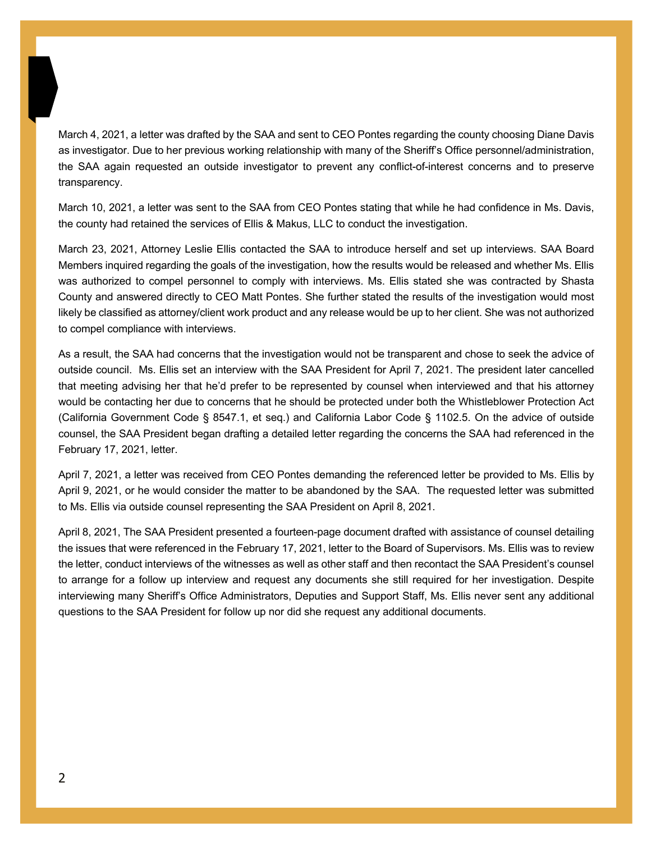March 4, 2021, a letter was drafted by the SAA and sent to CEO Pontes regarding the county choosing Diane Davis as investigator. Due to her previous working relationship with many of the Sheriff's Office personnel/administration, the SAA again requested an outside investigator to prevent any conflict-of-interest concerns and to preserve transparency.

March 10, 2021, a letter was sent to the SAA from CEO Pontes stating that while he had confidence in Ms. Davis, the county had retained the services of Ellis & Makus, LLC to conduct the investigation.

March 23, 2021, Attorney Leslie Ellis contacted the SAA to introduce herself and set up interviews. SAA Board Members inquired regarding the goals of the investigation, how the results would be released and whether Ms. Ellis was authorized to compel personnel to comply with interviews. Ms. Ellis stated she was contracted by Shasta County and answered directly to CEO Matt Pontes. She further stated the results of the investigation would most likely be classified as attorney/client work product and any release would be up to her client. She was not authorized to compel compliance with interviews.

As a result, the SAA had concerns that the investigation would not be transparent and chose to seek the advice of outside council. Ms. Ellis set an interview with the SAA President for April 7, 2021. The president later cancelled that meeting advising her that he'd prefer to be represented by counsel when interviewed and that his attorney would be contacting her due to concerns that he should be protected under both the Whistleblower Protection Act (California Government Code § 8547.1, et seq.) and California Labor Code § 1102.5. On the advice of outside counsel, the SAA President began drafting a detailed letter regarding the concerns the SAA had referenced in the February 17, 2021, letter.

April 7, 2021, a letter was received from CEO Pontes demanding the referenced letter be provided to Ms. Ellis by April 9, 2021, or he would consider the matter to be abandoned by the SAA. The requested letter was submitted to Ms. Ellis via outside counsel representing the SAA President on April 8, 2021.

April 8, 2021, The SAA President presented a fourteen-page document drafted with assistance of counsel detailing the issues that were referenced in the February 17, 2021, letter to the Board of Supervisors. Ms. Ellis was to review the letter, conduct interviews of the witnesses as well as other staff and then recontact the SAA President's counsel to arrange for a follow up interview and request any documents she still required for her investigation. Despite interviewing many Sheriff's Office Administrators, Deputies and Support Staff, Ms. Ellis never sent any additional questions to the SAA President for follow up nor did she request any additional documents.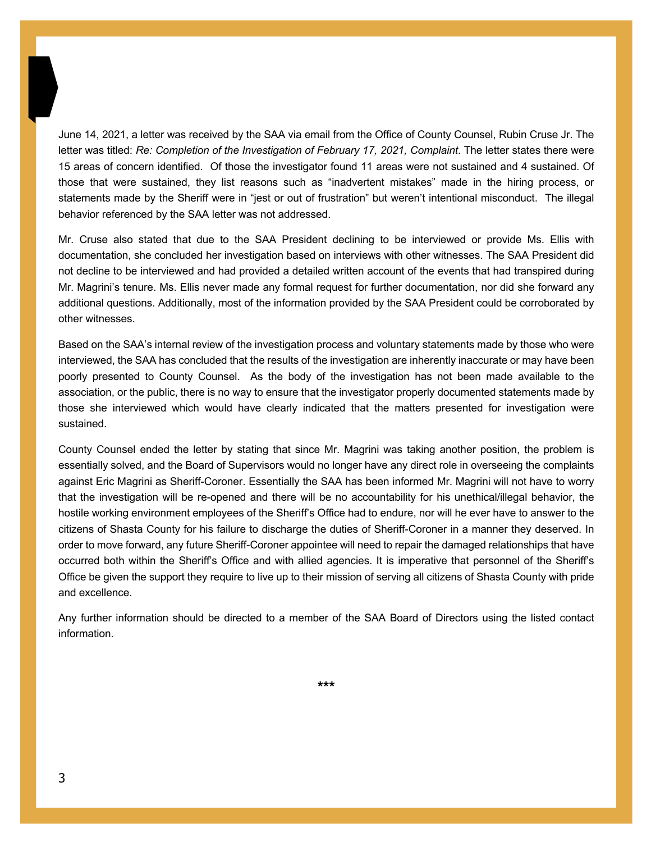June 14, 2021, a letter was received by the SAA via email from the Office of County Counsel, Rubin Cruse Jr. The letter was titled: *Re: Completion of the Investigation of February 17, 2021, Complaint*. The letter states there were 15 areas of concern identified. Of those the investigator found 11 areas were not sustained and 4 sustained. Of those that were sustained, they list reasons such as "inadvertent mistakes" made in the hiring process, or statements made by the Sheriff were in "jest or out of frustration" but weren't intentional misconduct. The illegal behavior referenced by the SAA letter was not addressed.

Mr. Cruse also stated that due to the SAA President declining to be interviewed or provide Ms. Ellis with documentation, she concluded her investigation based on interviews with other witnesses. The SAA President did not decline to be interviewed and had provided a detailed written account of the events that had transpired during Mr. Magrini's tenure. Ms. Ellis never made any formal request for further documentation, nor did she forward any additional questions. Additionally, most of the information provided by the SAA President could be corroborated by other witnesses.

Based on the SAA's internal review of the investigation process and voluntary statements made by those who were interviewed, the SAA has concluded that the results of the investigation are inherently inaccurate or may have been poorly presented to County Counsel. As the body of the investigation has not been made available to the association, or the public, there is no way to ensure that the investigator properly documented statements made by those she interviewed which would have clearly indicated that the matters presented for investigation were sustained.

County Counsel ended the letter by stating that since Mr. Magrini was taking another position, the problem is essentially solved, and the Board of Supervisors would no longer have any direct role in overseeing the complaints against Eric Magrini as Sheriff-Coroner. Essentially the SAA has been informed Mr. Magrini will not have to worry that the investigation will be re-opened and there will be no accountability for his unethical/illegal behavior, the hostile working environment employees of the Sheriff's Office had to endure, nor will he ever have to answer to the citizens of Shasta County for his failure to discharge the duties of Sheriff-Coroner in a manner they deserved. In order to move forward, any future Sheriff-Coroner appointee will need to repair the damaged relationships that have occurred both within the Sheriff's Office and with allied agencies. It is imperative that personnel of the Sheriff's Office be given the support they require to live up to their mission of serving all citizens of Shasta County with pride and excellence.

Any further information should be directed to a member of the SAA Board of Directors using the listed contact information.

**\*\*\***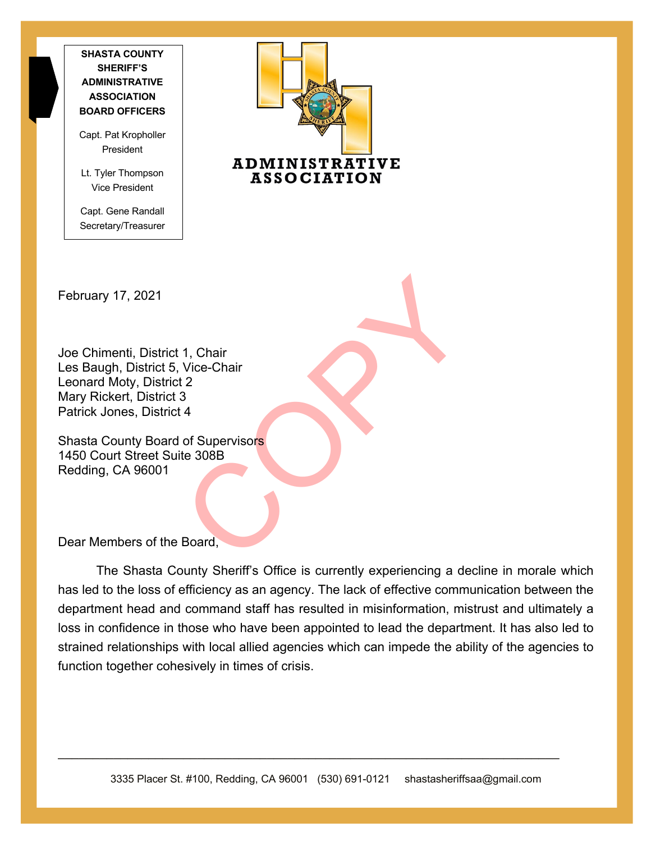**SHASTA COUNTY SHERIFF'S ADMINISTRATIVE ASSOCIATION BOARD OFFICERS**

Capt. Pat Kropholler President

Lt. Tyler Thompson Vice President

Capt. Gene Randall Secretary/Treasurer



February 17, 2021

1, Chair<br>Vice-Chair<br>12<br>3<br>4<br>of Supervisors<br>te 308B<br>Roard, Joe Chimenti, District 1, Chair Les Baugh, District 5, Vice-Chair Leonard Moty, District 2 Mary Rickert, District 3 Patrick Jones, District 4

Shasta County Board of Supervisors 1450 Court Street Suite 308B Redding, CA 96001

Dear Members of the Board,

The Shasta County Sheriff's Office is currently experiencing a decline in morale which has led to the loss of efficiency as an agency. The lack of effective communication between the department head and command staff has resulted in misinformation, mistrust and ultimately a loss in confidence in those who have been appointed to lead the department. It has also led to strained relationships with local allied agencies which can impede the ability of the agencies to function together cohesively in times of crisis.

\_\_\_\_\_\_\_\_\_\_\_\_\_\_\_\_\_\_\_\_\_\_\_\_\_\_\_\_\_\_\_\_\_\_\_\_\_\_\_\_\_\_\_\_\_\_\_\_\_\_\_\_\_\_\_\_\_\_\_\_\_\_\_\_\_\_\_\_\_\_\_\_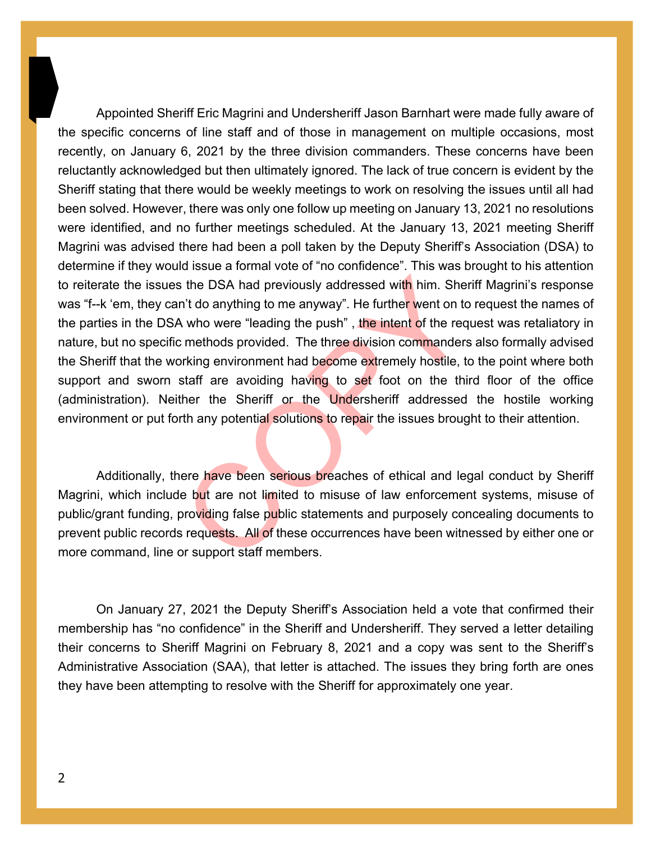is the DSA had previously addressed with him. Shen't do anything to me anyway". He further went on to who were "leading the push", the intent of the req rest methods provided. The three division commanders or the equal to Appointed Sheriff Eric Magrini and Undersheriff Jason Barnhart were made fully aware of the specific concerns of line staff and of those in management on multiple occasions, most recently, on January 6, 2021 by the three division commanders. These concerns have been reluctantly acknowledged but then ultimately ignored. The lack of true concern is evident by the Sheriff stating that there would be weekly meetings to work on resolving the issues until all had been solved. However, there was only one follow up meeting on January 13, 2021 no resolutions were identified, and no further meetings scheduled. At the January 13, 2021 meeting Sheriff Magrini was advised there had been a poll taken by the Deputy Sheriff's Association (DSA) to determine if they would issue a formal vote of "no confidence". This was brought to his attention to reiterate the issues the DSA had previously addressed with him. Sheriff Magrini's response was "f--k 'em, they can't do anything to me anyway". He further went on to request the names of the parties in the DSA who were "leading the push", the intent of the request was retaliatory in nature, but no specific methods provided. The three division commanders also formally advised the Sheriff that the working environment had become extremely hostile, to the point where both support and sworn staff are avoiding having to set foot on the third floor of the office (administration). Neither the Sheriff or the Undersheriff addressed the hostile working environment or put forth any potential solutions to repair the issues brought to their attention.

Additionally, there have been serious breaches of ethical and legal conduct by Sheriff Magrini, which include but are not limited to misuse of law enforcement systems, misuse of public/grant funding, providing false public statements and purposely concealing documents to prevent public records requests. All of these occurrences have been witnessed by either one or more command, line or support staff members.

On January 27, 2021 the Deputy Sheriff's Association held a vote that confirmed their membership has "no confidence" in the Sheriff and Undersheriff. They served a letter detailing their concerns to Sheriff Magrini on February 8, 2021 and a copy was sent to the Sheriff's Administrative Association (SAA), that letter is attached. The issues they bring forth are ones they have been attempting to resolve with the Sheriff for approximately one year.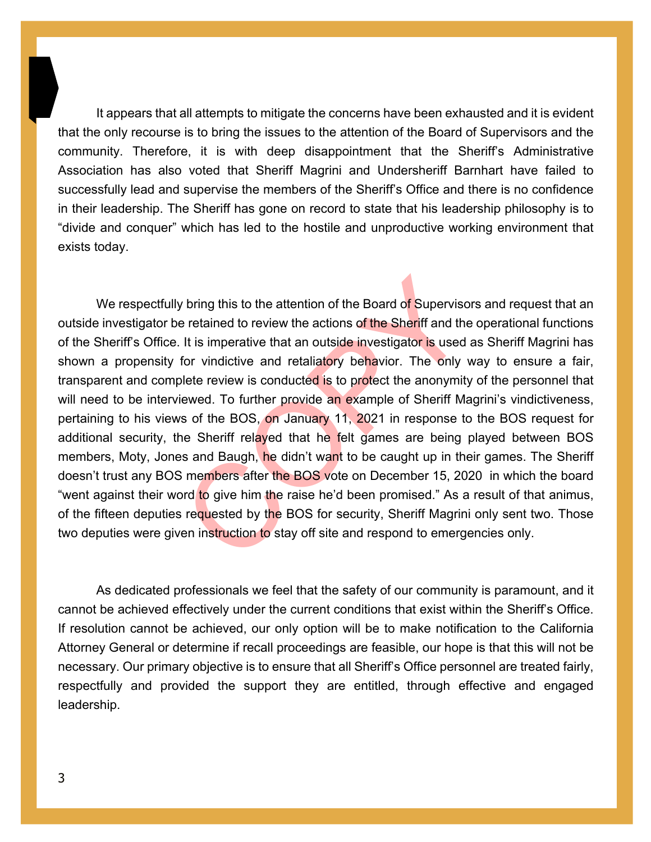It appears that all attempts to mitigate the concerns have been exhausted and it is evident that the only recourse is to bring the issues to the attention of the Board of Supervisors and the community. Therefore, it is with deep disappointment that the Sheriff's Administrative Association has also voted that Sheriff Magrini and Undersheriff Barnhart have failed to successfully lead and supervise the members of the Sheriff's Office and there is no confidence in their leadership. The Sheriff has gone on record to state that his leadership philosophy is to "divide and conquer" which has led to the hostile and unproductive working environment that exists today.

x bring this to the attention of the Board of Supervison e retained to review the actions of the Sheriff and the It is imperative that an outside investigator is used for vindictive and retaliatory behavior. The only velo We respectfully bring this to the attention of the Board of Supervisors and request that an outside investigator be retained to review the actions of the Sheriff and the operational functions of the Sheriff's Office. It is imperative that an outside investigator is used as Sheriff Magrini has shown a propensity for vindictive and retaliatory behavior. The only way to ensure a fair, transparent and complete review is conducted is to protect the anonymity of the personnel that will need to be interviewed. To further provide an example of Sheriff Magrini's vindictiveness, pertaining to his views of the BOS, on January 11, 2021 in response to the BOS request for additional security, the Sheriff relayed that he felt games are being played between BOS members, Moty, Jones and Baugh, he didn't want to be caught up in their games. The Sheriff doesn't trust any BOS members after the BOS vote on December 15, 2020 in which the board "went against their word to give him the raise he'd been promised." As a result of that animus, of the fifteen deputies requested by the BOS for security, Sheriff Magrini only sent two. Those two deputies were given instruction to stay off site and respond to emergencies only.

As dedicated professionals we feel that the safety of our community is paramount, and it cannot be achieved effectively under the current conditions that exist within the Sheriff's Office. If resolution cannot be achieved, our only option will be to make notification to the California Attorney General or determine if recall proceedings are feasible, our hope is that this will not be necessary. Our primary objective is to ensure that all Sheriff's Office personnel are treated fairly, respectfully and provided the support they are entitled, through effective and engaged leadership.